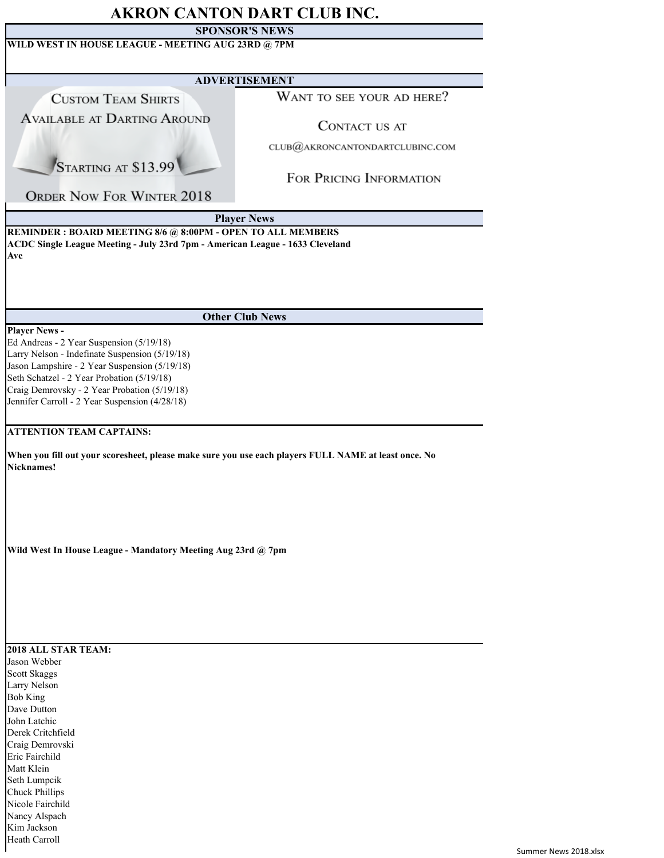## **AKRON CANTON DART CLUB INC.**

## **SPONSOR'S NEWS**

| WILD WEST IN HOUSE LEAGUE - MEETING AUG 23RD @ 7PM                                                                                                                                                                                                                                                                  |                                 |  |  |  |  |
|---------------------------------------------------------------------------------------------------------------------------------------------------------------------------------------------------------------------------------------------------------------------------------------------------------------------|---------------------------------|--|--|--|--|
| <b>ADVERTISEMENT</b>                                                                                                                                                                                                                                                                                                |                                 |  |  |  |  |
| <b>CUSTOM TEAM SHIRTS</b>                                                                                                                                                                                                                                                                                           | WANT TO SEE YOUR AD HERE?       |  |  |  |  |
| <b>AVAILABLE AT DARTING AROUND</b>                                                                                                                                                                                                                                                                                  | CONTACT US AT                   |  |  |  |  |
|                                                                                                                                                                                                                                                                                                                     | CLUB@AKRONCANTONDARTCLUBINC.COM |  |  |  |  |
| STARTING AT \$13.99                                                                                                                                                                                                                                                                                                 | FOR PRICING INFORMATION         |  |  |  |  |
| <b>ORDER NOW FOR WINTER 2018</b>                                                                                                                                                                                                                                                                                    |                                 |  |  |  |  |
|                                                                                                                                                                                                                                                                                                                     | <b>Player News</b>              |  |  |  |  |
| REMINDER : BOARD MEETING 8/6 @ 8:00PM - OPEN TO ALL MEMBERS<br>ACDC Single League Meeting - July 23rd 7pm - American League - 1633 Cleveland<br>Ave                                                                                                                                                                 |                                 |  |  |  |  |
|                                                                                                                                                                                                                                                                                                                     | <b>Other Club News</b>          |  |  |  |  |
| <b>Player News -</b><br>Ed Andreas - 2 Year Suspension (5/19/18)<br>Larry Nelson - Indefinate Suspension (5/19/18)<br>Jason Lampshire - 2 Year Suspension (5/19/18)<br>Seth Schatzel - 2 Year Probation (5/19/18)<br>Craig Demrovsky - 2 Year Probation (5/19/18)<br>Jennifer Carroll - 2 Year Suspension (4/28/18) |                                 |  |  |  |  |
| <b>ATTENTION TEAM CAPTAINS:</b>                                                                                                                                                                                                                                                                                     |                                 |  |  |  |  |
| When you fill out your scoresheet, please make sure you use each players FULL NAME at least once. No<br>Nicknames!                                                                                                                                                                                                  |                                 |  |  |  |  |
| Wild West In House League - Mandatory Meeting Aug 23rd @ 7pm                                                                                                                                                                                                                                                        |                                 |  |  |  |  |
|                                                                                                                                                                                                                                                                                                                     |                                 |  |  |  |  |
| 2018 ALL STAR TEAM:                                                                                                                                                                                                                                                                                                 |                                 |  |  |  |  |
| Jason Webber<br>Scott Skaggs<br>Larry Nelson<br><b>Bob King</b>                                                                                                                                                                                                                                                     |                                 |  |  |  |  |
| Dave Dutton<br>John Latchic<br>Derek Critchfield                                                                                                                                                                                                                                                                    |                                 |  |  |  |  |
| Craig Demrovski                                                                                                                                                                                                                                                                                                     |                                 |  |  |  |  |
| Eric Fairchild                                                                                                                                                                                                                                                                                                      |                                 |  |  |  |  |
| Matt Klein<br>Seth Lumpcik                                                                                                                                                                                                                                                                                          |                                 |  |  |  |  |
| <b>Chuck Phillips</b>                                                                                                                                                                                                                                                                                               |                                 |  |  |  |  |
| Nicole Fairchild                                                                                                                                                                                                                                                                                                    |                                 |  |  |  |  |
| Nancy Alspach<br>Kim Jackson                                                                                                                                                                                                                                                                                        |                                 |  |  |  |  |
| Heath Carroll                                                                                                                                                                                                                                                                                                       |                                 |  |  |  |  |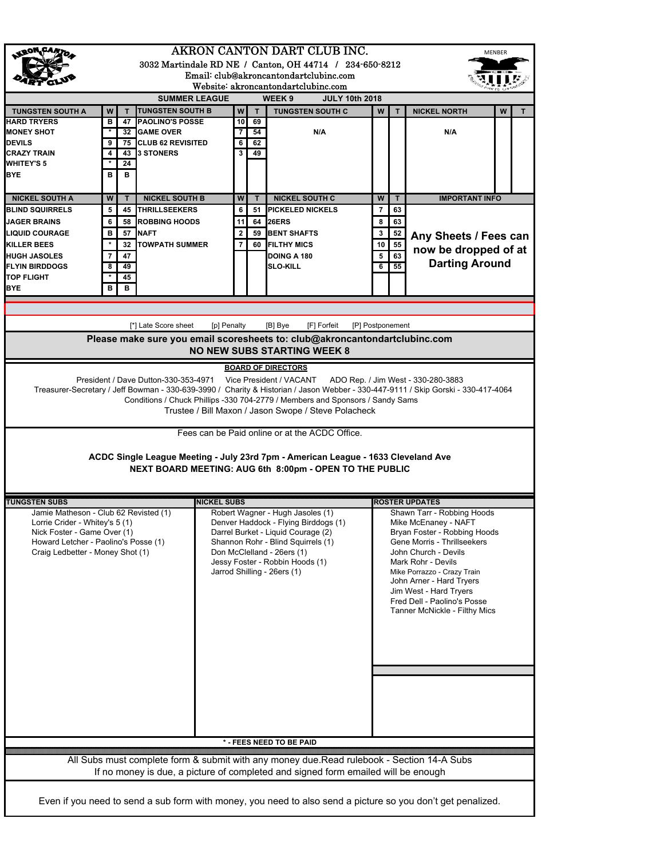| AKRON CANTON DART CLUB INC.<br><b>MENBER</b><br>3032 Martindale RD NE / Canton, OH 44714 / 234-650-8212<br>Email: club@akroncantondartclubinc.com                                                                                                                                                                                                                                                                                                                            |   |    |                         |                    |                |    |                                                                                                                                                                                                                                                      |                |    |                                                                                                                                                                                                                                                                                                                      |   |   |
|------------------------------------------------------------------------------------------------------------------------------------------------------------------------------------------------------------------------------------------------------------------------------------------------------------------------------------------------------------------------------------------------------------------------------------------------------------------------------|---|----|-------------------------|--------------------|----------------|----|------------------------------------------------------------------------------------------------------------------------------------------------------------------------------------------------------------------------------------------------------|----------------|----|----------------------------------------------------------------------------------------------------------------------------------------------------------------------------------------------------------------------------------------------------------------------------------------------------------------------|---|---|
| Website: akroncantondartclubinc.com<br><b>SUMMER LEAGUE</b><br>WEEK <sub>9</sub><br><b>JULY 10th 2018</b>                                                                                                                                                                                                                                                                                                                                                                    |   |    |                         |                    |                |    |                                                                                                                                                                                                                                                      |                |    |                                                                                                                                                                                                                                                                                                                      |   |   |
| <b>TUNGSTEN SOUTH A</b>                                                                                                                                                                                                                                                                                                                                                                                                                                                      | W | T. | <b>TUNGSTEN SOUTH B</b> |                    | W              | T  | <b>TUNGSTEN SOUTH C</b>                                                                                                                                                                                                                              | W              | T  | <b>NICKEL NORTH</b>                                                                                                                                                                                                                                                                                                  | W | T |
| <b>HARD TRYERS</b>                                                                                                                                                                                                                                                                                                                                                                                                                                                           | в | 47 | <b>PAOLINO'S POSSE</b>  |                    | 10             | 69 |                                                                                                                                                                                                                                                      |                |    |                                                                                                                                                                                                                                                                                                                      |   |   |
| <b>MONEY SHOT</b>                                                                                                                                                                                                                                                                                                                                                                                                                                                            |   | 32 | <b>GAME OVER</b>        |                    | $\overline{7}$ | 54 | N/A                                                                                                                                                                                                                                                  |                |    | N/A                                                                                                                                                                                                                                                                                                                  |   |   |
| <b>DEVILS</b>                                                                                                                                                                                                                                                                                                                                                                                                                                                                | 9 |    | 75 CLUB 62 REVISITED    |                    | 6              | 62 |                                                                                                                                                                                                                                                      |                |    |                                                                                                                                                                                                                                                                                                                      |   |   |
| <b>CRAZY TRAIN</b>                                                                                                                                                                                                                                                                                                                                                                                                                                                           | 4 | 43 | <b>3 STONERS</b>        |                    | 3              | 49 |                                                                                                                                                                                                                                                      |                |    |                                                                                                                                                                                                                                                                                                                      |   |   |
| <b>WHITEY'S 5</b>                                                                                                                                                                                                                                                                                                                                                                                                                                                            |   | 24 |                         |                    |                |    |                                                                                                                                                                                                                                                      |                |    |                                                                                                                                                                                                                                                                                                                      |   |   |
| <b>BYE</b>                                                                                                                                                                                                                                                                                                                                                                                                                                                                   | в | в  |                         |                    |                |    |                                                                                                                                                                                                                                                      |                |    |                                                                                                                                                                                                                                                                                                                      |   |   |
| <b>NICKEL SOUTH A</b>                                                                                                                                                                                                                                                                                                                                                                                                                                                        | W | T  | <b>NICKEL SOUTH B</b>   |                    | W              | T  | <b>NICKEL SOUTH C</b>                                                                                                                                                                                                                                | W              | T  | <b>IMPORTANT INFO</b>                                                                                                                                                                                                                                                                                                |   |   |
| <b>BLIND SQUIRRELS</b>                                                                                                                                                                                                                                                                                                                                                                                                                                                       | 5 | 45 | <b>THRILLSEEKERS</b>    |                    | 6              | 51 | <b>PICKELED NICKELS</b>                                                                                                                                                                                                                              | $\overline{7}$ | 63 |                                                                                                                                                                                                                                                                                                                      |   |   |
| <b>JAGER BRAINS</b>                                                                                                                                                                                                                                                                                                                                                                                                                                                          | 6 |    | <b>58 ROBBING HOODS</b> |                    | 11             |    | 64 26ERS                                                                                                                                                                                                                                             | 8              | 63 |                                                                                                                                                                                                                                                                                                                      |   |   |
| <b>LIQUID COURAGE</b>                                                                                                                                                                                                                                                                                                                                                                                                                                                        | в |    | 57 NAFT                 |                    | 2              | 59 | <b>BENT SHAFTS</b>                                                                                                                                                                                                                                   | 3              | 52 |                                                                                                                                                                                                                                                                                                                      |   |   |
| <b>KILLER BEES</b>                                                                                                                                                                                                                                                                                                                                                                                                                                                           |   | 32 | <b>TOWPATH SUMMER</b>   |                    | $\overline{7}$ | 60 | <b>FILTHY MICS</b>                                                                                                                                                                                                                                   | 10             | 55 | Any Sheets / Fees can                                                                                                                                                                                                                                                                                                |   |   |
| <b>HUGH JASOLES</b>                                                                                                                                                                                                                                                                                                                                                                                                                                                          | 7 | 47 |                         |                    |                |    | DOING A 180                                                                                                                                                                                                                                          | 5              | 63 | now be dropped of at                                                                                                                                                                                                                                                                                                 |   |   |
| <b>FLYIN BIRDDOGS</b>                                                                                                                                                                                                                                                                                                                                                                                                                                                        | 8 | 49 |                         |                    |                |    | <b>SLO-KILL</b>                                                                                                                                                                                                                                      | 6              | 55 | <b>Darting Around</b>                                                                                                                                                                                                                                                                                                |   |   |
| <b>TOP FLIGHT</b>                                                                                                                                                                                                                                                                                                                                                                                                                                                            |   | 45 |                         |                    |                |    |                                                                                                                                                                                                                                                      |                |    |                                                                                                                                                                                                                                                                                                                      |   |   |
| <b>BYE</b>                                                                                                                                                                                                                                                                                                                                                                                                                                                                   | в | в  |                         |                    |                |    |                                                                                                                                                                                                                                                      |                |    |                                                                                                                                                                                                                                                                                                                      |   |   |
|                                                                                                                                                                                                                                                                                                                                                                                                                                                                              |   |    |                         |                    |                |    |                                                                                                                                                                                                                                                      |                |    |                                                                                                                                                                                                                                                                                                                      |   |   |
| [*] Late Score sheet<br>[p] Penalty<br>[B] Bye<br>[F] Forfeit<br>[P] Postponement<br>Please make sure you email scoresheets to: club@akroncantondartclubinc.com<br><b>NO NEW SUBS STARTING WEEK 8</b>                                                                                                                                                                                                                                                                        |   |    |                         |                    |                |    |                                                                                                                                                                                                                                                      |                |    |                                                                                                                                                                                                                                                                                                                      |   |   |
|                                                                                                                                                                                                                                                                                                                                                                                                                                                                              |   |    |                         |                    |                |    | <b>BOARD OF DIRECTORS</b>                                                                                                                                                                                                                            |                |    |                                                                                                                                                                                                                                                                                                                      |   |   |
| Treasurer-Secretary / Jeff Bowman - 330-639-3990 / Charity & Historian / Jason Webber - 330-447-9111 / Skip Gorski - 330-417-4064<br>Conditions / Chuck Phillips -330 704-2779 / Members and Sponsors / Sandy Sams<br>Trustee / Bill Maxon / Jason Swope / Steve Polacheck<br>Fees can be Paid online or at the ACDC Office.<br>ACDC Single League Meeting - July 23rd 7pm - American League - 1633 Cleveland Ave<br>NEXT BOARD MEETING: AUG 6th 8:00pm - OPEN TO THE PUBLIC |   |    |                         |                    |                |    |                                                                                                                                                                                                                                                      |                |    |                                                                                                                                                                                                                                                                                                                      |   |   |
| <b>TUNGSTEN SUBS</b>                                                                                                                                                                                                                                                                                                                                                                                                                                                         |   |    |                         | <b>NICKEL SUBS</b> |                |    |                                                                                                                                                                                                                                                      |                |    | <b>ROSTER UPDATES</b>                                                                                                                                                                                                                                                                                                |   |   |
| Jamie Matheson - Club 62 Revisted (1)<br>Lorrie Crider - Whitey's 5 (1)<br>Nick Foster - Game Over (1)<br>Howard Letcher - Paolino's Posse (1)<br>Craig Ledbetter - Money Shot (1)                                                                                                                                                                                                                                                                                           |   |    |                         |                    |                |    | Robert Wagner - Hugh Jasoles (1)<br>Denver Haddock - Flying Birddogs (1)<br>Darrel Burket - Liquid Courage (2)<br>Shannon Rohr - Blind Squirrels (1)<br>Don McClelland - 26ers (1)<br>Jessy Foster - Robbin Hoods (1)<br>Jarrod Shilling - 26ers (1) |                |    | Shawn Tarr - Robbing Hoods<br>Mike McEnaney - NAFT<br>Bryan Foster - Robbing Hoods<br>Gene Morris - Thrillseekers<br>John Church - Devils<br>Mark Rohr - Devils<br>Mike Porrazzo - Crazy Train<br>John Arner - Hard Tryers<br>Jim West - Hard Tryers<br>Fred Dell - Paolino's Posse<br>Tanner McNickle - Filthy Mics |   |   |
| * - FEES NEED TO BE PAID                                                                                                                                                                                                                                                                                                                                                                                                                                                     |   |    |                         |                    |                |    |                                                                                                                                                                                                                                                      |                |    |                                                                                                                                                                                                                                                                                                                      |   |   |
| All Subs must complete form & submit with any money due. Read rulebook - Section 14-A Subs<br>If no money is due, a picture of completed and signed form emailed will be enough                                                                                                                                                                                                                                                                                              |   |    |                         |                    |                |    |                                                                                                                                                                                                                                                      |                |    |                                                                                                                                                                                                                                                                                                                      |   |   |
| Even if you need to send a sub form with money, you need to also send a picture so you don't get penalized.                                                                                                                                                                                                                                                                                                                                                                  |   |    |                         |                    |                |    |                                                                                                                                                                                                                                                      |                |    |                                                                                                                                                                                                                                                                                                                      |   |   |